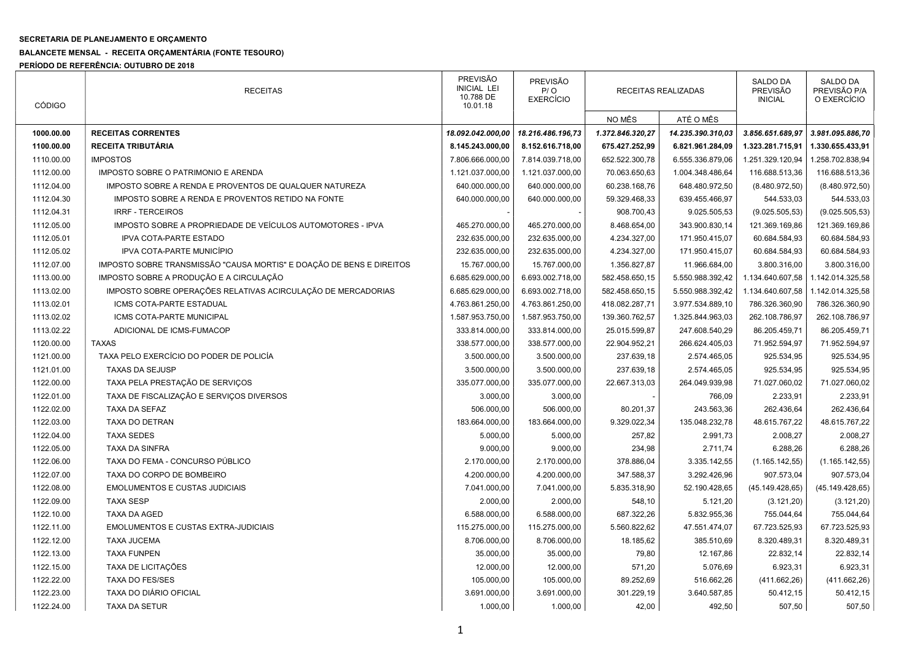## SECRETARIA DE PLANEJAMENTO E ORÇAMENTO

## BALANCETE MENSAL - RECEITA ORÇAMENTÁRIA (FONTE TESOURO)

PERÍODO DE REFERÊNCIA: OUTUBRO DE 2018

| <b>CÓDIGO</b> | <b>RECEITAS</b>                                                      | <b>PREVISÃO</b><br><b>INICIAL LEI</b><br>10.788 DE<br>10.01.18 | <b>PREVISÃO</b><br>P / O<br><b>EXERCÍCIO</b> |                  | RECEITAS REALIZADAS | <b>SALDO DA</b><br><b>PREVISÃO</b><br><b>INICIAL</b> | SALDO DA<br>PREVISÃO P/A<br>O EXERCÍCIO |
|---------------|----------------------------------------------------------------------|----------------------------------------------------------------|----------------------------------------------|------------------|---------------------|------------------------------------------------------|-----------------------------------------|
|               |                                                                      |                                                                |                                              | NO MÊS           | ATÉ O MÊS           |                                                      |                                         |
| 1000.00.00    | <b>RECEITAS CORRENTES</b>                                            | 18.092.042.000,00                                              | 18.216.486.196,73                            | 1.372.846.320,27 | 14.235.390.310,03   | 3.856.651.689,97                                     | 3.981.095.886,70                        |
| 1100.00.00    | <b>RECEITA TRIBUTÁRIA</b>                                            | 8.145.243.000,00                                               | 8.152.616.718,00                             | 675.427.252,99   | 6.821.961.284,09    | 1.323.281.715,91                                     | 1.330.655.433,91                        |
| 1110.00.00    | <b>IMPOSTOS</b>                                                      | 7.806.666.000,00                                               | 7.814.039.718,00                             | 652.522.300,78   | 6.555.336.879,06    | 1.251.329.120,94                                     | 1.258.702.838,94                        |
| 1112.00.00    | IMPOSTO SOBRE O PATRIMONIO E ARENDA                                  | 1.121.037.000,00                                               | 1.121.037.000,00                             | 70.063.650,63    | 1.004.348.486,64    | 116.688.513,36                                       | 116.688.513,36                          |
| 1112.04.00    | IMPOSTO SOBRE A RENDA E PROVENTOS DE QUALQUER NATUREZA               | 640.000.000,00                                                 | 640.000.000,00                               | 60.238.168,76    | 648.480.972,50      | (8.480.972, 50)                                      | (8.480.972, 50)                         |
| 1112.04.30    | IMPOSTO SOBRE A RENDA E PROVENTOS RETIDO NA FONTE                    | 640.000.000.00                                                 | 640.000.000,00                               | 59.329.468,33    | 639.455.466,97      | 544.533,03                                           | 544.533,03                              |
| 1112.04.31    | <b>IRRF - TERCEIROS</b>                                              |                                                                |                                              | 908.700,43       | 9.025.505,53        | (9.025.505, 53)                                      | (9.025.505, 53)                         |
| 1112.05.00    | IMPOSTO SOBRE A PROPRIEDADE DE VEÍCULOS AUTOMOTORES - IPVA           | 465.270.000,00                                                 | 465.270.000,00                               | 8.468.654,00     | 343.900.830,14      | 121.369.169,86                                       | 121.369.169,86                          |
| 1112.05.01    | IPVA COTA-PARTE ESTADO                                               | 232.635.000,00                                                 | 232.635.000,00                               | 4.234.327,00     | 171.950.415,07      | 60.684.584,93                                        | 60.684.584,93                           |
| 1112.05.02    | IPVA COTA-PARTE MUNICÍPIO                                            | 232.635.000,00                                                 | 232.635.000,00                               | 4.234.327,00     | 171.950.415,07      | 60.684.584,93                                        | 60.684.584,93                           |
| 1112.07.00    | IMPOSTO SOBRE TRANSMISSÃO "CAUSA MORTIS" E DOAÇÃO DE BENS E DIREITOS | 15.767.000,00                                                  | 15.767.000,00                                | 1.356.827,87     | 11.966.684,00       | 3.800.316,00                                         | 3.800.316,00                            |
| 1113.00.00    | IMPOSTO SOBRE A PRODUÇÃO E A CIRCULAÇÃO                              | 6.685.629.000,00                                               | 6.693.002.718,00                             | 582.458.650,15   | 5.550.988.392,42    | 1.134.640.607,58                                     | 1.142.014.325,58                        |
| 1113.02.00    | IMPOSTO SOBRE OPERAÇÕES RELATIVAS ACIRCULAÇÃO DE MERCADORIAS         | 6.685.629.000,00                                               | 6.693.002.718,00                             | 582.458.650,15   | 5.550.988.392,42    | 1.134.640.607,58                                     | 1.142.014.325,58                        |
| 1113.02.01    | ICMS COTA-PARTE ESTADUAL                                             | 4.763.861.250,00                                               | 4.763.861.250,00                             | 418.082.287,71   | 3.977.534.889,10    | 786.326.360,90                                       | 786.326.360,90                          |
| 1113.02.02    | ICMS COTA-PARTE MUNICIPAL                                            | 1.587.953.750,00                                               | 1.587.953.750,00                             | 139.360.762,57   | 1.325.844.963,03    | 262.108.786,97                                       | 262.108.786,97                          |
| 1113.02.22    | ADICIONAL DE ICMS-FUMACOP                                            | 333.814.000,00                                                 | 333.814.000,00                               | 25.015.599,87    | 247.608.540,29      | 86.205.459,71                                        | 86.205.459,71                           |
| 1120.00.00    | <b>TAXAS</b>                                                         | 338.577.000,00                                                 | 338.577.000,00                               | 22.904.952,21    | 266.624.405,03      | 71.952.594,97                                        | 71.952.594,97                           |
| 1121.00.00    | TAXA PELO EXERCÍCIO DO PODER DE POLICÍA                              | 3.500.000,00                                                   | 3.500.000,00                                 | 237.639,18       | 2.574.465,05        | 925.534,95                                           | 925.534,95                              |
| 1121.01.00    | <b>TAXAS DA SEJUSP</b>                                               | 3.500.000,00                                                   | 3.500.000,00                                 | 237.639,18       | 2.574.465,05        | 925.534,95                                           | 925.534,95                              |
| 1122.00.00    | TAXA PELA PRESTAÇÃO DE SERVIÇOS                                      | 335.077.000,00                                                 | 335.077.000,00                               | 22.667.313,03    | 264.049.939,98      | 71.027.060,02                                        | 71.027.060,02                           |
| 1122.01.00    | TAXA DE FISCALIZAÇÃO E SERVIÇOS DIVERSOS                             | 3.000,00                                                       | 3.000,00                                     |                  | 766,09              | 2.233,91                                             | 2.233,91                                |
| 1122.02.00    | TAXA DA SEFAZ                                                        | 506.000,00                                                     | 506.000,00                                   | 80.201,37        | 243.563,36          | 262.436,64                                           | 262.436,64                              |
| 1122.03.00    | TAXA DO DETRAN                                                       | 183.664.000,00                                                 | 183.664.000,00                               | 9.329.022,34     | 135.048.232,78      | 48.615.767,22                                        | 48.615.767,22                           |
| 1122.04.00    | <b>TAXA SEDES</b>                                                    | 5.000,00                                                       | 5.000,00                                     | 257,82           | 2.991,73            | 2.008,27                                             | 2.008,27                                |
| 1122.05.00    | <b>TAXA DA SINFRA</b>                                                | 9.000,00                                                       | 9.000,00                                     | 234,98           | 2.711,74            | 6.288,26                                             | 6.288,26                                |
| 1122.06.00    | TAXA DO FEMA - CONCURSO PÚBLICO                                      | 2.170.000,00                                                   | 2.170.000,00                                 | 378.886,04       | 3.335.142,55        | (1.165.142, 55)                                      | (1.165.142, 55)                         |
| 1122.07.00    | TAXA DO CORPO DE BOMBEIRO                                            | 4.200.000,00                                                   | 4.200.000,00                                 | 347.588,37       | 3.292.426,96        | 907.573,04                                           | 907.573,04                              |
| 1122.08.00    | <b>EMOLUMENTOS E CUSTAS JUDICIAIS</b>                                | 7.041.000,00                                                   | 7.041.000,00                                 | 5.835.318,90     | 52.190.428,65       | (45.149.428, 65)                                     | (45.149.428, 65)                        |
| 1122.09.00    | <b>TAXA SESP</b>                                                     | 2.000,00                                                       | 2.000,00                                     | 548,10           | 5.121,20            | (3.121, 20)                                          | (3.121, 20)                             |
| 1122.10.00    | <b>TAXA DA AGED</b>                                                  | 6.588.000,00                                                   | 6.588.000,00                                 | 687.322,26       | 5.832.955,36        | 755.044,64                                           | 755.044,64                              |
| 1122.11.00    | <b>EMOLUMENTOS E CUSTAS EXTRA-JUDICIAIS</b>                          | 115.275.000,00                                                 | 115.275.000,00                               | 5.560.822,62     | 47.551.474,07       | 67.723.525,93                                        | 67.723.525,93                           |
| 1122.12.00    | <b>TAXA JUCEMA</b>                                                   | 8.706.000,00                                                   | 8.706.000,00                                 | 18.185,62        | 385.510,69          | 8.320.489,31                                         | 8.320.489,31                            |
| 1122.13.00    | <b>TAXA FUNPEN</b>                                                   | 35.000,00                                                      | 35.000,00                                    | 79,80            | 12.167,86           | 22.832,14                                            | 22.832,14                               |
| 1122.15.00    | TAXA DE LICITAÇÕES                                                   | 12.000,00                                                      | 12.000,00                                    | 571,20           | 5.076,69            | 6.923,31                                             | 6.923,31                                |
| 1122.22.00    | <b>TAXA DO FES/SES</b>                                               | 105.000,00                                                     | 105.000,00                                   | 89.252,69        | 516.662,26          | (411.662,26)                                         | (411.662,26)                            |
| 1122.23.00    | TAXA DO DIÁRIO OFICIAL                                               | 3.691.000,00                                                   | 3.691.000,00                                 | 301.229,19       | 3.640.587,85        | 50.412,15                                            | 50.412,15                               |
| 1122.24.00    | <b>TAXA DA SETUR</b>                                                 | 1.000,00                                                       | 1.000,00                                     | 42,00            | 492,50              | 507,50                                               | 507,50                                  |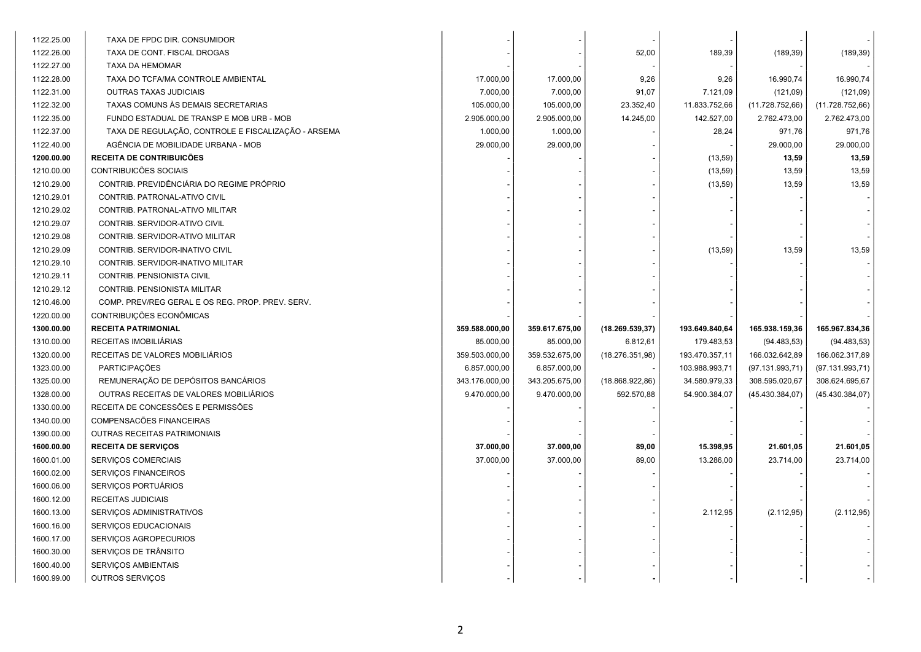| 1122.25.00 | TAXA DE FPDC DIR. CONSUMIDOR                        |                |                |                  |                |                 |                 |  |
|------------|-----------------------------------------------------|----------------|----------------|------------------|----------------|-----------------|-----------------|--|
| 1122.26.00 | TAXA DE CONT. FISCAL DROGAS                         |                |                | 52,00            | 189,39         | (189, 39)       | (189, 39)       |  |
| 1122.27.00 | <b>TAXA DA HEMOMAR</b>                              |                |                |                  |                |                 |                 |  |
| 1122.28.00 | TAXA DO TCFA/MA CONTROLE AMBIENTAL                  | 17.000,00      | 17.000,00      | 9,26             | 9,26           | 16.990,74       | 16.990,74       |  |
| 1122.31.00 | OUTRAS TAXAS JUDICIAIS                              | 7.000,00       | 7.000,00       | 91,07            | 7.121,09       | (121,09)        | (121,09)        |  |
| 1122.32.00 | TAXAS COMUNS ÀS DEMAIS SECRETARIAS                  | 105.000,00     | 105.000,00     | 23.352,40        | 11.833.752,66  | (11.728.752,66) | (11.728.752,66) |  |
| 1122.35.00 | FUNDO ESTADUAL DE TRANSP E MOB URB - MOB            | 2.905.000,00   | 2.905.000,00   | 14.245,00        | 142.527,00     | 2.762.473,00    | 2.762.473,00    |  |
| 1122.37.00 | TAXA DE REGULAÇÃO, CONTROLE E FISCALIZAÇÃO - ARSEMA | 1.000,00       | 1.000,00       |                  | 28,24          | 971,76          | 971,76          |  |
| 1122.40.00 | AGÊNCIA DE MOBILIDADE URBANA - MOB                  | 29.000,00      | 29.000,00      |                  |                | 29.000,00       | 29.000,00       |  |
| 1200.00.00 | <b>RECEITA DE CONTRIBUICÕES</b>                     |                |                |                  | (13, 59)       | 13,59           | 13,59           |  |
| 1210.00.00 | CONTRIBUICÕES SOCIAIS                               |                |                |                  | (13, 59)       | 13,59           | 13,59           |  |
| 1210.29.00 | CONTRIB. PREVIDÊNCIÁRIA DO REGIME PRÓPRIO           |                |                |                  | (13, 59)       | 13,59           | 13,59           |  |
| 1210.29.01 | CONTRIB. PATRONAL-ATIVO CIVIL                       |                |                |                  |                |                 |                 |  |
| 1210.29.02 | CONTRIB. PATRONAL-ATIVO MILITAR                     |                |                |                  |                |                 |                 |  |
| 1210.29.07 | CONTRIB. SERVIDOR-ATIVO CIVIL                       |                |                |                  |                |                 |                 |  |
| 1210.29.08 | CONTRIB. SERVIDOR-ATIVO MILITAR                     |                |                |                  |                |                 |                 |  |
| 1210.29.09 | CONTRIB. SERVIDOR-INATIVO CIVIL                     |                |                |                  | (13,59)        | 13,59           | 13,59           |  |
| 1210.29.10 | CONTRIB. SERVIDOR-INATIVO MILITAR                   |                |                |                  |                |                 |                 |  |
| 1210.29.11 | CONTRIB. PENSIONISTA CIVIL                          |                |                |                  |                |                 |                 |  |
| 1210.29.12 | CONTRIB. PENSIONISTA MILITAR                        |                |                |                  |                |                 |                 |  |
| 1210.46.00 | COMP. PREV/REG GERAL E OS REG. PROP. PREV. SERV.    |                |                |                  |                |                 |                 |  |
| 1220.00.00 | CONTRIBUIÇÕES ECONÔMICAS                            |                |                |                  |                |                 |                 |  |
| 1300.00.00 | <b>RECEITA PATRIMONIAL</b>                          | 359.588.000,00 | 359.617.675,00 | (18.269.539, 37) | 193.649.840,64 | 165.938.159,36  | 165.967.834,36  |  |
| 1310.00.00 | RECEITAS IMOBILIÁRIAS                               | 85.000,00      | 85.000,00      | 6.812,61         | 179.483,53     | (94.483, 53)    | (94.483, 53)    |  |
| 1320.00.00 | RECEITAS DE VALORES MOBILIÁRIOS                     | 359.503.000,00 | 359.532.675,00 | (18.276.351,98)  | 193.470.357,11 | 166.032.642,89  | 166.062.317,89  |  |
| 1323.00.00 | <b>PARTICIPAÇÕES</b>                                | 6.857.000,00   | 6.857.000,00   |                  | 103.988.993,71 | (97.131.993,71) | (97.131.993,71) |  |
| 1325.00.00 | REMUNERAÇÃO DE DEPÓSITOS BANCÁRIOS                  | 343.176.000,00 | 343.205.675,00 | (18.868.922, 86) | 34.580.979,33  | 308.595.020,67  | 308.624.695,67  |  |
| 1328.00.00 | OUTRAS RECEITAS DE VALORES MOBILIÁRIOS              | 9.470.000,00   | 9.470.000,00   | 592.570,88       | 54.900.384,07  | (45.430.384,07) | (45.430.384,07) |  |
| 1330.00.00 | RECEITA DE CONCESSÕES E PERMISSÕES                  |                |                |                  |                |                 |                 |  |
| 1340.00.00 | COMPENSACÕES FINANCEIRAS                            |                |                |                  |                |                 |                 |  |
| 1390.00.00 | <b>OUTRAS RECEITAS PATRIMONIAIS</b>                 |                |                |                  |                |                 |                 |  |
| 1600.00.00 | <b>RECEITA DE SERVIÇOS</b>                          | 37.000,00      | 37.000,00      | 89,00            | 15.398,95      | 21.601,05       | 21.601,05       |  |
| 1600.01.00 | SERVIÇOS COMERCIAIS                                 | 37.000,00      | 37.000,00      | 89,00            | 13.286,00      | 23.714,00       | 23.714,00       |  |
| 1600.02.00 | SERVIÇOS FINANCEIROS                                |                |                |                  |                |                 |                 |  |
| 1600.06.00 | SERVIÇOS PORTUÁRIOS                                 |                |                |                  |                |                 |                 |  |
| 1600.12.00 | RECEITAS JUDICIAIS                                  |                |                |                  |                |                 |                 |  |
| 1600.13.00 | SERVIÇOS ADMINISTRATIVOS                            |                |                |                  | 2.112,95       | (2.112, 95)     | (2.112,95)      |  |
| 1600.16.00 | SERVIÇOS EDUCACIONAIS                               |                |                |                  |                |                 |                 |  |
| 1600.17.00 | SERVIÇOS AGROPECURIOS                               |                |                |                  |                |                 |                 |  |
| 1600.30.00 | SERVIÇOS DE TRÂNSITO                                |                |                |                  |                |                 |                 |  |
| 1600.40.00 | SERVIÇOS AMBIENTAIS                                 |                |                |                  |                |                 |                 |  |
| 1600.99.00 | OUTROS SERVIÇOS                                     |                |                |                  |                |                 |                 |  |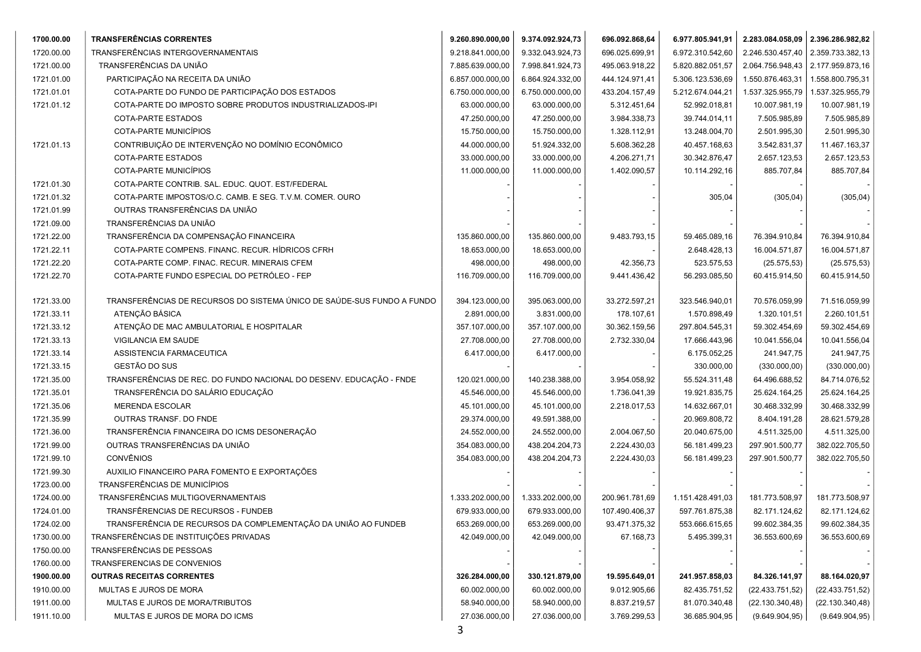| 1700.00.00 | <b>TRANSFERÊNCIAS CORRENTES</b>                                        | 9.260.890.000,00 | 9.374.092.924,73 | 696.092.868,64 | 6.977.805.941,91 | 2.283.084.058,09 2.396.286.982,82 |                  |  |
|------------|------------------------------------------------------------------------|------------------|------------------|----------------|------------------|-----------------------------------|------------------|--|
| 1720.00.00 | TRANSFERÊNCIAS INTERGOVERNAMENTAIS                                     | 9.218.841.000,00 | 9.332.043.924,73 | 696.025.699,91 | 6.972.310.542,60 | 2.246.530.457,40                  | 2.359.733.382,13 |  |
| 1721.00.00 | TRANSFERÊNCIAS DA UNIÃO                                                | 7.885.639.000,00 | 7.998.841.924,73 | 495.063.918,22 | 5.820.882.051,57 | 2.064.756.948,43                  | 2.177.959.873,16 |  |
| 1721.01.00 | PARTICIPAÇÃO NA RECEITA DA UNIÃO                                       | 6.857.000.000,00 | 6.864.924.332,00 | 444.124.971,41 | 5.306.123.536,69 | 1.550.876.463,31                  | 1.558.800.795,31 |  |
| 1721.01.01 | COTA-PARTE DO FUNDO DE PARTICIPAÇÃO DOS ESTADOS                        | 6.750.000.000,00 | 6.750.000.000,00 | 433.204.157,49 | 5.212.674.044,21 | 1.537.325.955,79                  | 1.537.325.955,79 |  |
| 1721.01.12 | COTA-PARTE DO IMPOSTO SOBRE PRODUTOS INDUSTRIALIZADOS-IPI              | 63.000.000,00    | 63.000.000,00    | 5.312.451,64   | 52.992.018,81    | 10.007.981,19                     | 10.007.981,19    |  |
|            | COTA-PARTE ESTADOS                                                     | 47.250.000,00    | 47.250.000,00    | 3.984.338,73   | 39.744.014,11    | 7.505.985,89                      | 7.505.985,89     |  |
|            | COTA-PARTE MUNICÍPIOS                                                  | 15.750.000,00    | 15.750.000,00    | 1.328.112,91   | 13.248.004,70    | 2.501.995,30                      | 2.501.995,30     |  |
| 1721.01.13 | CONTRIBUIÇÃO DE INTERVENÇÃO NO DOMÍNIO ECONÔMICO                       | 44.000.000,00    | 51.924.332,00    | 5.608.362,28   | 40.457.168,63    | 3.542.831,37                      | 11.467.163,37    |  |
|            | <b>COTA-PARTE ESTADOS</b>                                              | 33.000.000,00    | 33.000.000,00    | 4.206.271,71   | 30.342.876,47    | 2.657.123,53                      | 2.657.123,53     |  |
|            | COTA-PARTE MUNICÍPIOS                                                  | 11.000.000,00    | 11.000.000,00    | 1.402.090,57   | 10.114.292,16    | 885.707,84                        | 885.707,84       |  |
| 1721.01.30 | COTA-PARTE CONTRIB. SAL. EDUC. QUOT. EST/FEDERAL                       |                  |                  |                |                  |                                   |                  |  |
| 1721.01.32 | COTA-PARTE IMPOSTOS/O.C. CAMB. E SEG. T.V.M. COMER. OURO               |                  |                  |                | 305,04           | (305, 04)                         | (305, 04)        |  |
| 1721.01.99 | OUTRAS TRANSFERÊNCIAS DA UNIÃO                                         |                  |                  |                |                  |                                   |                  |  |
| 1721.09.00 | TRANSFERÊNCIAS DA UNIÃO                                                |                  |                  |                |                  |                                   |                  |  |
| 1721.22.00 | TRANSFERÊNCIA DA COMPENSAÇÃO FINANCEIRA                                | 135.860.000,00   | 135.860.000,00   | 9.483.793,15   | 59.465.089,16    | 76.394.910,84                     | 76.394.910,84    |  |
| 1721.22.11 | COTA-PARTE COMPENS. FINANC. RECUR. HÍDRICOS CFRH                       | 18.653.000,00    | 18.653.000,00    |                | 2.648.428,13     | 16.004.571,87                     | 16.004.571,87    |  |
| 1721.22.20 | COTA-PARTE COMP. FINAC. RECUR. MINERAIS CFEM                           | 498.000,00       | 498.000,00       | 42.356,73      | 523.575,53       | (25.575, 53)                      | (25.575, 53)     |  |
| 1721.22.70 | COTA-PARTE FUNDO ESPECIAL DO PETRÓLEO - FEP                            | 116.709.000,00   | 116.709.000,00   | 9.441.436,42   | 56.293.085,50    | 60.415.914,50                     | 60.415.914,50    |  |
|            |                                                                        |                  |                  |                |                  |                                   |                  |  |
| 1721.33.00 | TRANSFERÊNCIAS DE RECURSOS DO SISTEMA ÚNICO DE SAÚDE-SUS FUNDO A FUNDO | 394.123.000,00   | 395.063.000,00   | 33.272.597.21  | 323.546.940,01   | 70.576.059,99                     | 71.516.059,99    |  |
| 1721.33.11 | ATENÇÃO BÁSICA                                                         | 2.891.000,00     | 3.831.000,00     | 178.107,61     | 1.570.898,49     | 1.320.101,51                      | 2.260.101,51     |  |
| 1721.33.12 | ATENÇÃO DE MAC AMBULATORIAL E HOSPITALAR                               | 357.107.000,00   | 357.107.000,00   | 30.362.159,56  | 297.804.545,31   | 59.302.454,69                     | 59.302.454,69    |  |
| 1721.33.13 | VIGILANCIA EM SAUDE                                                    | 27.708.000,00    | 27.708.000,00    | 2.732.330,04   | 17.666.443,96    | 10.041.556,04                     | 10.041.556,04    |  |
| 1721.33.14 | ASSISTENCIA FARMACEUTICA                                               | 6.417.000,00     | 6.417.000,00     |                | 6.175.052,25     | 241.947,75                        | 241.947,75       |  |
| 1721.33.15 | GESTÃO DO SUS                                                          |                  |                  |                | 330.000,00       | (330.000, 00)                     | (330.000, 00)    |  |
| 1721.35.00 | TRANSFERÊNCIAS DE REC. DO FUNDO NACIONAL DO DESENV. EDUCAÇÃO - FNDE    | 120.021.000,00   | 140.238.388,00   | 3.954.058,92   | 55.524.311,48    | 64.496.688,52                     | 84.714.076,52    |  |
| 1721.35.01 | TRANSFERÊNCIA DO SALÁRIO EDUCAÇÃO                                      | 45.546.000,00    | 45.546.000,00    | 1.736.041,39   | 19.921.835,75    | 25.624.164,25                     | 25.624.164,25    |  |
| 1721.35.06 | <b>MERENDA ESCOLAR</b>                                                 | 45.101.000,00    | 45.101.000,00    | 2.218.017,53   | 14.632.667,01    | 30.468.332,99                     | 30.468.332,99    |  |
| 1721.35.99 | OUTRAS TRANSF. DO FNDE                                                 | 29.374.000,00    | 49.591.388,00    |                | 20.969.808,72    | 8.404.191,28                      | 28.621.579,28    |  |
| 1721.36.00 | TRANSFERÊNCIA FINANCEIRA DO ICMS DESONERAÇÃO                           | 24.552.000,00    | 24.552.000,00    | 2.004.067,50   | 20.040.675,00    | 4.511.325,00                      | 4.511.325,00     |  |
| 1721.99.00 | OUTRAS TRANSFERÊNCIAS DA UNIÃO                                         | 354.083.000,00   | 438.204.204,73   | 2.224.430,03   | 56.181.499,23    | 297.901.500,77                    | 382.022.705,50   |  |
| 1721.99.10 | <b>CONVÊNIOS</b>                                                       | 354.083.000,00   | 438.204.204,73   | 2.224.430,03   | 56.181.499,23    | 297.901.500,77                    | 382.022.705,50   |  |
| 1721.99.30 | AUXILIO FINANCEIRO PARA FOMENTO E EXPORTAÇÕES                          |                  |                  |                |                  |                                   |                  |  |
| 1723.00.00 | TRANSFERÊNCIAS DE MUNICÍPIOS                                           |                  |                  |                |                  |                                   |                  |  |
| 1724.00.00 | TRANSFERÊNCIAS MULTIGOVERNAMENTAIS                                     | 1.333.202.000,00 | 1.333.202.000,00 | 200.961.781,69 | 1.151.428.491,03 | 181.773.508,97                    | 181.773.508,97   |  |
| 1724.01.00 | TRANSFÊRENCIAS DE RECURSOS - FUNDEB                                    | 679.933.000,00   | 679.933.000,00   | 107.490.406,37 | 597.761.875,38   | 82.171.124,62                     | 82.171.124,62    |  |
| 1724.02.00 | TRANSFERÊNCIA DE RECURSOS DA COMPLEMENTAÇÃO DA UNIÃO AO FUNDEB         | 653.269.000,00   | 653.269.000,00   | 93.471.375,32  | 553.666.615,65   | 99.602.384,35                     | 99.602.384,35    |  |
| 1730.00.00 | TRANSFERÊNCIAS DE INSTITUIÇÕES PRIVADAS                                | 42.049.000,00    | 42.049.000,00    | 67.168,73      | 5.495.399,31     | 36.553.600,69                     | 36.553.600,69    |  |
| 1750.00.00 | TRANSFERÊNCIAS DE PESSOAS                                              |                  |                  |                |                  |                                   |                  |  |
| 1760.00.00 | TRANSFERENCIAS DE CONVENIOS                                            |                  |                  |                |                  |                                   |                  |  |
| 1900.00.00 | <b>OUTRAS RECEITAS CORRENTES</b>                                       | 326.284.000,00   | 330.121.879,00   | 19.595.649,01  | 241.957.858,03   | 84.326.141,97                     | 88.164.020,97    |  |
| 1910.00.00 | MULTAS E JUROS DE MORA                                                 | 60.002.000,00    | 60.002.000,00    | 9.012.905,66   | 82.435.751,52    | (22.433.751,52)                   | (22.433.751,52)  |  |
| 1911.00.00 | MULTAS E JUROS DE MORA/TRIBUTOS                                        | 58.940.000,00    | 58.940.000,00    | 8.837.219,57   | 81.070.340,48    | (22.130.340, 48)                  | (22.130.340, 48) |  |
| 1911.10.00 | MULTAS E JUROS DE MORA DO ICMS                                         | 27.036.000,00    | 27.036.000,00    | 3.769.299,53   | 36.685.904,95    | (9.649.904, 95)                   | (9.649.904, 95)  |  |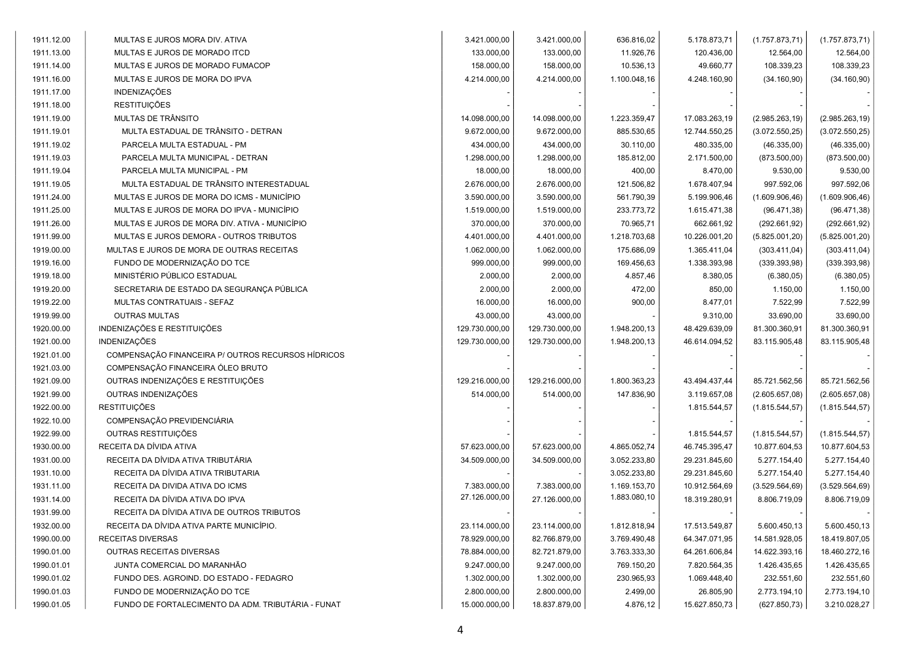| 1911.12.00 | MULTAS E JUROS MORA DIV. ATIVA                     | 3.421.000,00   | 3.421.000,00   | 636.816,02   | 5.178.873,71  | (1.757.873, 71) | (1.757.873, 71) |
|------------|----------------------------------------------------|----------------|----------------|--------------|---------------|-----------------|-----------------|
| 1911.13.00 | MULTAS E JUROS DE MORADO ITCD                      | 133.000,00     | 133.000,00     | 11.926,76    | 120.436,00    | 12.564,00       | 12.564,00       |
| 1911.14.00 | MULTAS E JUROS DE MORADO FUMACOP                   | 158.000,00     | 158.000,00     | 10.536,13    | 49.660,77     | 108.339,23      | 108.339,23      |
| 1911.16.00 | MULTAS E JUROS DE MORA DO IPVA                     | 4.214.000,00   | 4.214.000,00   | 1.100.048,16 | 4.248.160,90  | (34.160, 90)    | (34.160, 90)    |
| 1911.17.00 | <b>INDENIZAÇÕES</b>                                |                |                |              |               |                 |                 |
| 1911.18.00 | <b>RESTITUIÇÕES</b>                                |                |                |              |               |                 |                 |
| 1911.19.00 | MULTAS DE TRÂNSITO                                 | 14.098.000,00  | 14.098.000,00  | 1.223.359,47 | 17.083.263,19 | (2.985.263, 19) | (2.985.263, 19) |
| 1911.19.01 | MULTA ESTADUAL DE TRÂNSITO - DETRAN                | 9.672.000,00   | 9.672.000,00   | 885.530,65   | 12.744.550,25 | (3.072.550, 25) | (3.072.550, 25) |
| 1911.19.02 | PARCELA MULTA ESTADUAL - PM                        | 434.000,00     | 434.000,00     | 30.110,00    | 480.335,00    | (46.335,00)     | (46.335,00)     |
| 1911.19.03 | PARCELA MULTA MUNICIPAL - DETRAN                   | 1.298.000,00   | 1.298.000,00   | 185.812,00   | 2.171.500,00  | (873.500,00)    | (873.500,00)    |
| 1911.19.04 | PARCELA MULTA MUNICIPAL - PM                       | 18.000,00      | 18.000,00      | 400,00       | 8.470,00      | 9.530,00        | 9.530,00        |
| 1911.19.05 | MULTA ESTADUAL DE TRÂNSITO INTERESTADUAL           | 2.676.000,00   | 2.676.000,00   | 121.506,82   | 1.678.407,94  | 997.592,06      | 997.592,06      |
| 1911.24.00 | MULTAS E JUROS DE MORA DO ICMS - MUNICÍPIO         | 3.590.000,00   | 3.590.000,00   | 561.790,39   | 5.199.906,46  | (1.609.906, 46) | (1.609.906, 46) |
| 1911.25.00 | MULTAS E JUROS DE MORA DO IPVA - MUNICÍPIO         | 1.519.000,00   | 1.519.000,00   | 233.773,72   | 1.615.471,38  | (96.471, 38)    | (96.471, 38)    |
| 1911.26.00 | MULTAS E JUROS DE MORA DIV. ATIVA - MUNICÍPIO      | 370.000,00     | 370.000,00     | 70.965,71    | 662.661,92    | (292.661, 92)   | (292.661, 92)   |
| 1911.99.00 | MULTAS E JUROS DEMORA - OUTROS TRIBUTOS            | 4.401.000,00   | 4.401.000,00   | 1.218.703,68 | 10.226.001,20 | (5.825.001, 20) | (5.825.001, 20) |
| 1919.00.00 | MULTAS E JUROS DE MORA DE OUTRAS RECEITAS          | 1.062.000,00   | 1.062.000,00   | 175.686,09   | 1.365.411,04  | (303.411,04)    | (303.411,04)    |
| 1919.16.00 | FUNDO DE MODERNIZAÇÃO DO TCE                       | 999.000,00     | 999.000,00     | 169.456,63   | 1.338.393,98  | (339.393,98)    | (339.393,98)    |
| 1919.18.00 | MINISTÉRIO PÚBLICO ESTADUAL                        | 2.000,00       | 2.000,00       | 4.857,46     | 8.380,05      | (6.380, 05)     | (6.380, 05)     |
| 1919.20.00 | SECRETARIA DE ESTADO DA SEGURANÇA PÚBLICA          | 2.000,00       | 2.000,00       | 472,00       | 850,00        | 1.150,00        | 1.150,00        |
| 1919.22.00 | MULTAS CONTRATUAIS - SEFAZ                         | 16.000,00      | 16.000,00      | 900,00       | 8.477,01      | 7.522,99        | 7.522,99        |
| 1919.99.00 | <b>OUTRAS MULTAS</b>                               | 43.000,00      | 43.000,00      |              | 9.310,00      | 33.690,00       | 33.690,00       |
| 1920.00.00 | INDENIZAÇÕES E RESTITUIÇÕES                        | 129.730.000,00 | 129.730.000,00 | 1.948.200,13 | 48.429.639,09 | 81.300.360,91   | 81.300.360,91   |
| 1921.00.00 | <b>INDENIZAÇÕES</b>                                | 129.730.000,00 | 129.730.000,00 | 1.948.200,13 | 46.614.094,52 | 83.115.905,48   | 83.115.905,48   |
| 1921.01.00 | COMPENSAÇÃO FINANCEIRA P/ OUTROS RECURSOS HÍDRICOS |                |                |              |               |                 |                 |
| 1921.03.00 | COMPENSAÇÃO FINANCEIRA ÓLEO BRUTO                  |                |                |              |               |                 |                 |
| 1921.09.00 | OUTRAS INDENIZAÇÕES E RESTITUIÇÕES                 | 129.216.000,00 | 129.216.000,00 | 1.800.363,23 | 43.494.437,44 | 85.721.562,56   | 85.721.562,56   |
| 1921.99.00 | OUTRAS INDENIZAÇÕES                                | 514.000,00     | 514.000,00     | 147.836,90   | 3.119.657,08  | (2.605.657,08)  | (2.605.657,08)  |
| 1922.00.00 | <b>RESTITUIÇÕES</b>                                |                |                |              | 1.815.544,57  | (1.815.544, 57) | (1.815.544, 57) |
| 1922.10.00 | COMPENSAÇÃO PREVIDENCIÁRIA                         |                |                |              |               |                 |                 |
| 1922.99.00 | OUTRAS RESTITUIÇÕES                                |                |                |              | 1.815.544,57  | (1.815.544, 57) | (1.815.544, 57) |
| 1930.00.00 | RECEITA DA DÍVIDA ATIVA                            | 57.623.000,00  | 57.623.000,00  | 4.865.052,74 | 46.745.395,47 | 10.877.604,53   | 10.877.604,53   |
| 1931.00.00 | RECEITA DA DÍVIDA ATIVA TRIBUTÁRIA                 | 34.509.000,00  | 34.509.000,00  | 3.052.233,80 | 29.231.845,60 | 5.277.154,40    | 5.277.154,40    |
| 1931.10.00 | RECEITA DA DÍVIDA ATIVA TRIBUTARIA                 |                |                | 3.052.233,80 | 29.231.845,60 | 5.277.154,40    | 5.277.154,40    |
| 1931.11.00 | RECEITA DA DIVIDA ATIVA DO ICMS                    | 7.383.000,00   | 7.383.000,00   | 1.169.153,70 | 10.912.564,69 | (3.529.564, 69) | (3.529.564, 69) |
| 1931.14.00 | RECEITA DA DÍVIDA ATIVA DO IPVA                    | 27.126.000,00  | 27.126.000,00  | 1.883.080,10 | 18.319.280,91 | 8.806.719,09    | 8.806.719,09    |
| 1931.99.00 | RECEITA DA DÍVIDA ATIVA DE OUTROS TRIBUTOS         |                |                |              |               |                 |                 |
| 1932.00.00 | RECEITA DA DÍVIDA ATIVA PARTE MUNICÍPIO.           | 23.114.000,00  | 23.114.000,00  | 1.812.818,94 | 17.513.549,87 | 5.600.450,13    | 5.600.450,13    |
| 1990.00.00 | <b>RECEITAS DIVERSAS</b>                           | 78.929.000,00  | 82.766.879,00  | 3.769.490,48 | 64.347.071,95 | 14.581.928,05   | 18.419.807,05   |
| 1990.01.00 | OUTRAS RECEITAS DIVERSAS                           | 78.884.000,00  | 82.721.879,00  | 3.763.333,30 | 64.261.606,84 | 14.622.393,16   | 18.460.272,16   |
| 1990.01.01 | JUNTA COMERCIAL DO MARANHÃO                        | 9.247.000,00   | 9.247.000,00   | 769.150,20   | 7.820.564,35  | 1.426.435,65    | 1.426.435,65    |
| 1990.01.02 | FUNDO DES. AGROIND. DO ESTADO - FEDAGRO            | 1.302.000,00   | 1.302.000,00   | 230.965,93   | 1.069.448,40  | 232.551,60      | 232.551,60      |
| 1990.01.03 | FUNDO DE MODERNIZAÇÃO DO TCE                       | 2.800.000,00   | 2.800.000,00   | 2.499,00     | 26.805,90     | 2.773.194,10    | 2.773.194,10    |
| 1990.01.05 | FUNDO DE FORTALECIMENTO DA ADM. TRIBUTÁRIA - FUNAT | 15.000.000,00  | 18.837.879,00  | 4.876,12     | 15.627.850,73 | (627.850, 73)   | 3.210.028,27    |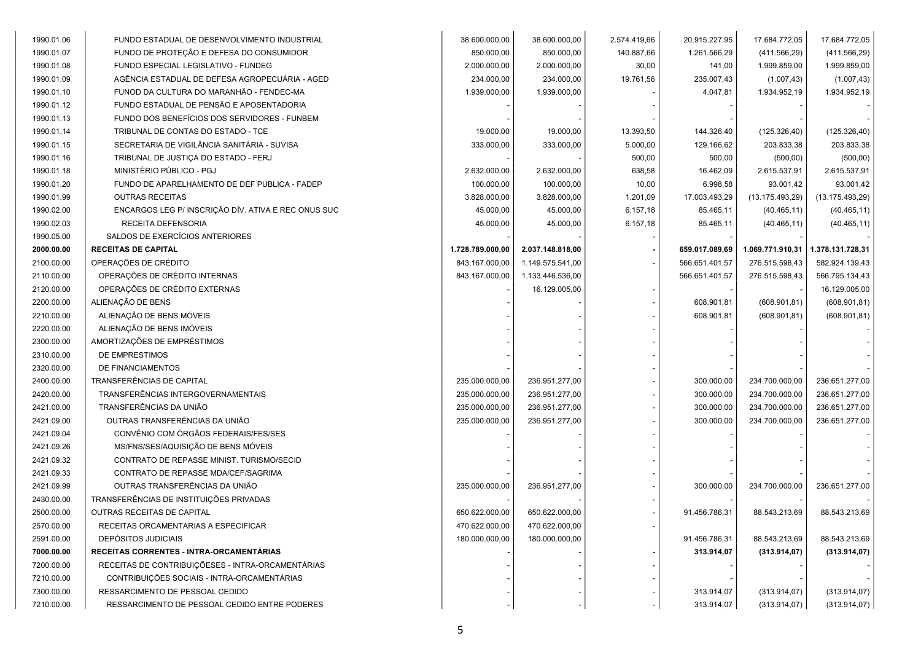| 1990.01.06 | FUNDO ESTADUAL DE DESENVOLVIMENTO INDUSTRIAL        | 38.600.000,00    | 38.600.000,00    | 2.574.419,66 | 20.915.227,95  | 17.684.772,05    | 17.684.772,05    |  |
|------------|-----------------------------------------------------|------------------|------------------|--------------|----------------|------------------|------------------|--|
| 1990.01.07 | FUNDO DE PROTEÇÃO E DEFESA DO CONSUMIDOR            | 850.000,00       | 850.000,00       | 140.887,66   | 1.261.566,29   | (411.566, 29)    | (411.566, 29)    |  |
| 1990.01.08 | FUNDO ESPECIAL LEGISLATIVO - FUNDEG                 | 2.000.000,00     | 2.000.000,00     | 30,00        | 141,00         | 1.999.859,00     | 1.999.859,00     |  |
| 1990.01.09 | AGÊNCIA ESTADUAL DE DEFESA AGROPECUÁRIA - AGED      | 234.000,00       | 234.000,00       | 19.761,56    | 235.007,43     | (1.007, 43)      | (1.007, 43)      |  |
| 1990.01.10 | FUNOD DA CULTURA DO MARANHÃO - FENDEC-MA            | 1.939.000,00     | 1.939.000,00     |              | 4.047,81       | 1.934.952,19     | 1.934.952,19     |  |
| 1990.01.12 | FUNDO ESTADUAL DE PENSÃO E APOSENTADORIA            |                  |                  |              |                |                  |                  |  |
| 1990.01.13 | FUNDO DOS BENEFÍCIOS DOS SERVIDORES - FUNBEM        |                  |                  |              |                |                  |                  |  |
| 1990.01.14 | TRIBUNAL DE CONTAS DO ESTADO - TCE                  | 19.000,00        | 19.000,00        | 13.393,50    | 144.326,40     | (125.326, 40)    | (125.326, 40)    |  |
| 1990.01.15 | SECRETARIA DE VIGILÂNCIA SANITÁRIA - SUVISA         | 333.000,00       | 333.000,00       | 5.000,00     | 129.166,62     | 203.833,38       | 203.833,38       |  |
| 1990.01.16 | TRIBUNAL DE JUSTIÇA DO ESTADO - FERJ                |                  |                  | 500,00       | 500,00         | (500,00)         | (500, 00)        |  |
| 1990.01.18 | MINISTÉRIO PÚBLICO - PGJ                            | 2.632.000,00     | 2.632.000,00     | 638,58       | 16.462,09      | 2.615.537,91     | 2.615.537,91     |  |
| 1990.01.20 | FUNDO DE APARELHAMENTO DE DEF PUBLICA - FADEP       | 100.000,00       | 100.000,00       | 10,00        | 6.998,58       | 93.001,42        | 93.001,42        |  |
| 1990.01.99 | <b>OUTRAS RECEITAS</b>                              | 3.828.000,00     | 3.828.000,00     | 1.201,09     | 17.003.493,29  | (13.175.493,29)  | (13.175.493,29)  |  |
| 1990.02.00 | ENCARGOS LEG P/ INSCRIÇÃO DÍV. ATIVA E REC ONUS SUC | 45.000,00        | 45.000,00        | 6.157,18     | 85.465,11      | (40.465, 11)     | (40.465, 11)     |  |
| 1990.02.03 | RECEITA DEFENSORIA                                  | 45.000,00        | 45.000,00        | 6.157,18     | 85.465,11      | (40.465, 11)     | (40.465, 11)     |  |
| 1990.05.00 | SALDOS DE EXERCÍCIOS ANTERIORES                     |                  |                  |              |                |                  |                  |  |
| 2000.00.00 | <b>RECEITAS DE CAPITAL</b>                          | 1.728.789.000,00 | 2.037.148.818,00 |              | 659.017.089,69 | 1.069.771.910,31 | 1.378.131.728,31 |  |
| 2100.00.00 | OPERAÇÕES DE CRÉDITO                                | 843.167.000,00   | 1.149.575.541,00 |              | 566.651.401,57 | 276.515.598,43   | 582.924.139,43   |  |
| 2110.00.00 | OPERAÇÕES DE CRÉDITO INTERNAS                       | 843.167.000,00   | 1.133.446.536,00 |              | 566.651.401,57 | 276.515.598,43   | 566.795.134,43   |  |
| 2120.00.00 | OPERAÇÕES DE CRÉDITO EXTERNAS                       |                  | 16.129.005,00    |              |                |                  | 16.129.005,00    |  |
| 2200.00.00 | ALIENAÇÃO DE BENS                                   |                  |                  |              | 608.901,81     | (608.901, 81)    | (608.901, 81)    |  |
| 2210.00.00 | ALIENAÇÃO DE BENS MÓVEIS                            |                  |                  |              | 608.901,81     | (608.901, 81)    | (608.901.81)     |  |
| 2220.00.00 | ALIENAÇÃO DE BENS IMÓVEIS                           |                  |                  |              |                |                  |                  |  |
| 2300.00.00 | AMORTIZAÇÕES DE EMPRÉSTIMOS                         |                  |                  |              |                |                  |                  |  |
| 2310.00.00 | DE EMPRESTIMOS                                      |                  |                  |              |                |                  |                  |  |
| 2320.00.00 | DE FINANCIAMENTOS                                   |                  |                  |              |                |                  |                  |  |
| 2400.00.00 | TRANSFERÊNCIAS DE CAPITAL                           | 235.000.000,00   | 236.951.277,00   |              | 300.000,00     | 234.700.000,00   | 236.651.277,00   |  |
| 2420.00.00 | TRANSFERÊNCIAS INTERGOVERNAMENTAIS                  | 235.000.000,00   | 236.951.277,00   |              | 300.000,00     | 234.700.000,00   | 236.651.277,00   |  |
| 2421.00.00 | TRANSFERÊNCIAS DA UNIÃO                             | 235.000.000,00   | 236.951.277,00   |              | 300.000,00     | 234.700.000,00   | 236.651.277,00   |  |
| 2421.09.00 | OUTRAS TRANSFERÊNCIAS DA UNIÃO                      | 235.000.000,00   | 236.951.277,00   |              | 300.000,00     | 234.700.000,00   | 236.651.277,00   |  |
| 2421.09.04 | CONVÊNIO COM ÓRGÃOS FEDERAIS/FES/SES                |                  |                  |              |                |                  |                  |  |
| 2421.09.26 | MS/FNS/SES/AQUISIÇÃO DE BENS MÓVEIS                 |                  |                  |              |                |                  |                  |  |
| 2421.09.32 | CONTRATO DE REPASSE MINIST. TURISMO/SECID           |                  |                  |              |                |                  |                  |  |
| 2421.09.33 | CONTRATO DE REPASSE MDA/CEF/SAGRIMA                 |                  |                  |              |                |                  |                  |  |
| 2421.09.99 | OUTRAS TRANSFERÊNCIAS DA UNIÃO                      | 235.000.000,00   | 236.951.277,00   |              | 300.000,00     | 234.700.000,00   | 236.651.277,00   |  |
| 2430.00.00 | TRANSFERÊNCIAS DE INSTITUIÇÕES PRIVADAS             |                  |                  |              |                |                  |                  |  |
| 2500.00.00 | OUTRAS RECEITAS DE CAPITAL                          | 650.622.000,00   | 650.622.000,00   |              | 91.456.786,31  | 88.543.213,69    | 88.543.213,69    |  |
| 2570.00.00 | RECEITAS ORCAMENTARIAS A ESPECIFICAR                | 470.622.000,00   | 470.622.000,00   |              |                |                  |                  |  |
| 2591.00.00 | <b>DEPÓSITOS JUDICIAIS</b>                          | 180.000.000,00   | 180.000.000,00   |              | 91.456.786,31  | 88.543.213,69    | 88.543.213,69    |  |
| 7000.00.00 | RECEITAS CORRENTES - INTRA-ORCAMENTÁRIAS            |                  |                  |              | 313.914,07     | (313.914, 07)    | (313.914, 07)    |  |
| 7200.00.00 | RECEITAS DE CONTRIBUIÇÕESES - INTRA-ORCAMENTÁRIAS   |                  |                  |              |                |                  |                  |  |
| 7210.00.00 | CONTRIBUIÇÕES SOCIAIS - INTRA-ORCAMENTÁRIAS         |                  |                  |              |                |                  |                  |  |
| 7300.00.00 | RESSARCIMENTO DE PESSOAL CEDIDO                     |                  |                  |              | 313.914,07     | (313.914,07)     | (313.914,07)     |  |
| 7210.00.00 | RESSARCIMENTO DE PESSOAL CEDIDO ENTRE PODERES       |                  |                  |              | 313.914,07     | (313.914, 07)    | (313.914, 07)    |  |